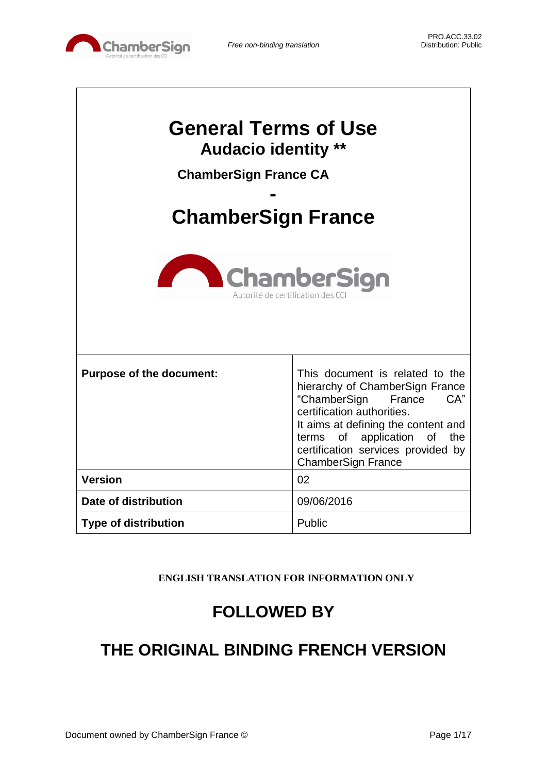

 $\Gamma$ 

| <b>General Terms of Use</b><br><b>Audacio identity **</b><br><b>ChamberSign France CA</b><br><b>ChamberSign France</b><br><b>ChamberSign</b><br>Autorité de certification des CC |                                                                                                                                                                                                                                                                            |  |  |
|----------------------------------------------------------------------------------------------------------------------------------------------------------------------------------|----------------------------------------------------------------------------------------------------------------------------------------------------------------------------------------------------------------------------------------------------------------------------|--|--|
| <b>Purpose of the document:</b>                                                                                                                                                  | This document is related to the<br>hierarchy of ChamberSign France<br>"ChamberSign<br>CA"<br>France<br>certification authorities.<br>It aims at defining the content and<br>terms of application of the<br>certification services provided by<br><b>ChamberSign France</b> |  |  |
| <b>Version</b>                                                                                                                                                                   | 02                                                                                                                                                                                                                                                                         |  |  |
| Date of distribution                                                                                                                                                             | 09/06/2016                                                                                                                                                                                                                                                                 |  |  |
| <b>Type of distribution</b>                                                                                                                                                      | Public                                                                                                                                                                                                                                                                     |  |  |

**ENGLISH TRANSLATION FOR INFORMATION ONLY**

# **FOLLOWED BY**

# **THE ORIGINAL BINDING FRENCH VERSION**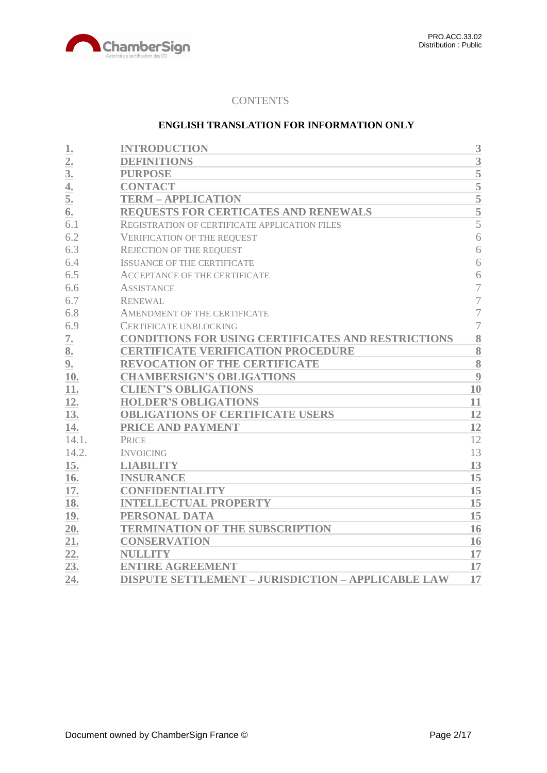

## **CONTENTS**

## **ENGLISH TRANSLATION FOR INFORMATION ONLY**

| 1.               | <b>INTRODUCTION</b>                                       | 3                  |
|------------------|-----------------------------------------------------------|--------------------|
| $\overline{2}$ . | <b>DEFINITIONS</b>                                        | 3                  |
| 3 <sub>l</sub>   | <b>PURPOSE</b>                                            | 5                  |
| 4.               | <b>CONTACT</b>                                            | $\overline{5}$     |
| 5.               | <b>TERM - APPLICATION</b>                                 | $\overline{5}$     |
| 6.               | REQUESTS FOR CERTICATES AND RENEWALS                      | 5                  |
| 6.1              | REGISTRATION OF CERTIFICATE APPLICATION FILES             | $\overline{5}$     |
| 6.2              | <b>VERIFICATION OF THE REQUEST</b>                        | 6                  |
| 6.3              | <b>REJECTION OF THE REQUEST</b>                           | 6                  |
| 6.4              | <b>ISSUANCE OF THE CERTIFICATE</b>                        | 6                  |
| 6.5              | <b>ACCEPTANCE OF THE CERTIFICATE</b>                      | 6                  |
| 6.6              | <b>ASSISTANCE</b>                                         | 7                  |
| 6.7              | <b>RENEWAL</b>                                            | $\overline{7}$     |
| 6.8              | AMENDMENT OF THE CERTIFICATE                              | $\overline{7}$     |
| 6.9              | <b>CERTIFICATE UNBLOCKING</b>                             | $\overline{7}$     |
| 7.               | <b>CONDITIONS FOR USING CERTIFICATES AND RESTRICTIONS</b> | 8                  |
| 8.               | <b>CERTIFICATE VERIFICATION PROCEDURE</b>                 | 8                  |
| 9.               | <b>REVOCATION OF THE CERTIFICATE</b>                      | $\overline{\bf 8}$ |
| 10.              | <b>CHAMBERSIGN'S OBLIGATIONS</b>                          | 9                  |
| 11.              | <b>CLIENT'S OBLIGATIONS</b>                               | 10                 |
| 12.              | <b>HOLDER'S OBLIGATIONS</b>                               | 11                 |
| 13.              | <b>OBLIGATIONS OF CERTIFICATE USERS</b>                   | 12                 |
| 14.              | PRICE AND PAYMENT                                         | 12                 |
| 14.1.            | <b>PRICE</b>                                              | 12                 |
| 14.2.            | <b>INVOICING</b>                                          | 13                 |
| 15.              | <b>LIABILITY</b>                                          | 13                 |
| 16.              | <b>INSURANCE</b>                                          | 15                 |
| 17.              | <b>CONFIDENTIALITY</b>                                    | 15                 |
| 18.              | <b>INTELLECTUAL PROPERTY</b>                              | 15                 |
| 19.              | PERSONAL DATA                                             | 15                 |
| 20.              | <b>TERMINATION OF THE SUBSCRIPTION</b>                    | 16                 |
| 21.              | <b>CONSERVATION</b>                                       | 16                 |
| 22.              | <b>NULLITY</b>                                            | 17                 |
| 23.              | <b>ENTIRE AGREEMENT</b>                                   | 17                 |
| 24.              | <b>DISPUTE SETTLEMENT - JURISDICTION - APPLICABLE LAW</b> | 17                 |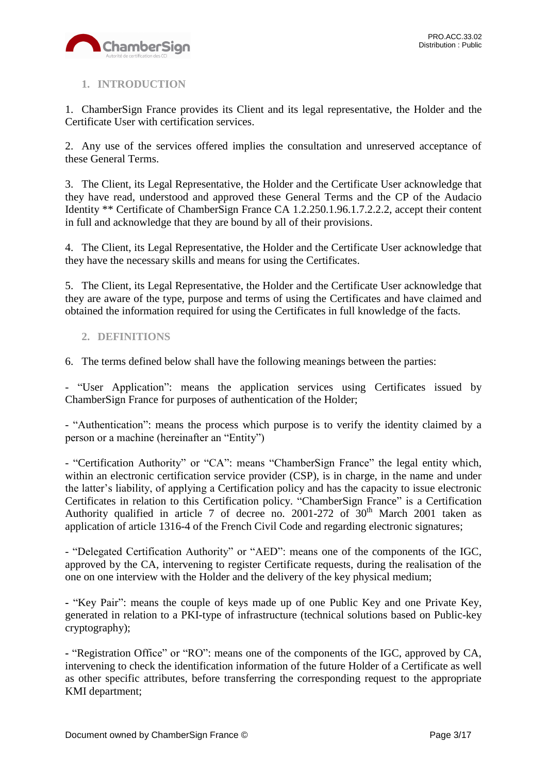

# <span id="page-2-0"></span>**1. INTRODUCTION**

1. ChamberSign France provides its Client and its legal representative, the Holder and the Certificate User with certification services.

2. Any use of the services offered implies the consultation and unreserved acceptance of these General Terms.

3. The Client, its Legal Representative, the Holder and the Certificate User acknowledge that they have read, understood and approved these General Terms and the CP of the Audacio Identity \*\* Certificate of ChamberSign France CA 1.2.250.1.96.1.7.2.2.2, accept their content in full and acknowledge that they are bound by all of their provisions.

4. The Client, its Legal Representative, the Holder and the Certificate User acknowledge that they have the necessary skills and means for using the Certificates.

5. The Client, its Legal Representative, the Holder and the Certificate User acknowledge that they are aware of the type, purpose and terms of using the Certificates and have claimed and obtained the information required for using the Certificates in full knowledge of the facts.

## <span id="page-2-1"></span>**2. DEFINITIONS**

6. The terms defined below shall have the following meanings between the parties:

- "User Application": means the application services using Certificates issued by ChamberSign France for purposes of authentication of the Holder;

- "Authentication": means the process which purpose is to verify the identity claimed by a person or a machine (hereinafter an "Entity")

- "Certification Authority" or "CA": means "ChamberSign France" the legal entity which, within an electronic certification service provider (CSP), is in charge, in the name and under the latter's liability, of applying a Certification policy and has the capacity to issue electronic Certificates in relation to this Certification policy. "ChamberSign France" is a Certification Authority qualified in article 7 of decree no. 2001-272 of  $30<sup>th</sup>$  March 2001 taken as application of article 1316-4 of the French Civil Code and regarding electronic signatures;

- "Delegated Certification Authority" or "AED": means one of the components of the IGC, approved by the CA, intervening to register Certificate requests, during the realisation of the one on one interview with the Holder and the delivery of the key physical medium;

**-** "Key Pair": means the couple of keys made up of one Public Key and one Private Key, generated in relation to a PKI-type of infrastructure (technical solutions based on Public-key cryptography);

**-** "Registration Office" or "RO": means one of the components of the IGC, approved by CA, intervening to check the identification information of the future Holder of a Certificate as well as other specific attributes, before transferring the corresponding request to the appropriate KMI department;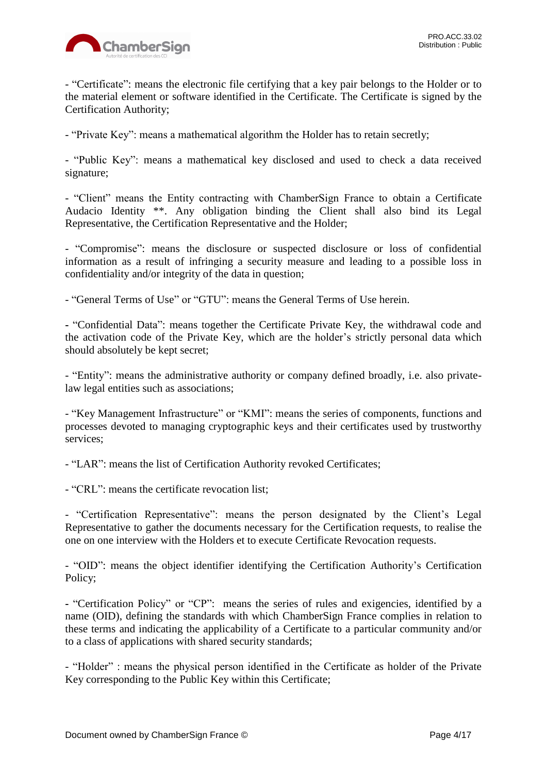

- "Certificate": means the electronic file certifying that a key pair belongs to the Holder or to the material element or software identified in the Certificate. The Certificate is signed by the Certification Authority;

- "Private Key": means a mathematical algorithm the Holder has to retain secretly;

- "Public Key": means a mathematical key disclosed and used to check a data received signature;

- "Client" means the Entity contracting with ChamberSign France to obtain a Certificate Audacio Identity \*\*. Any obligation binding the Client shall also bind its Legal Representative, the Certification Representative and the Holder;

- "Compromise": means the disclosure or suspected disclosure or loss of confidential information as a result of infringing a security measure and leading to a possible loss in confidentiality and/or integrity of the data in question;

- "General Terms of Use" or "GTU": means the General Terms of Use herein.

**-** "Confidential Data": means together the Certificate Private Key, the withdrawal code and the activation code of the Private Key, which are the holder's strictly personal data which should absolutely be kept secret;

- "Entity": means the administrative authority or company defined broadly, i.e. also privatelaw legal entities such as associations;

- "Key Management Infrastructure" or "KMI": means the series of components, functions and processes devoted to managing cryptographic keys and their certificates used by trustworthy services;

- "LAR": means the list of Certification Authority revoked Certificates;

- "CRL": means the certificate revocation list;

- "Certification Representative": means the person designated by the Client's Legal Representative to gather the documents necessary for the Certification requests, to realise the one on one interview with the Holders et to execute Certificate Revocation requests.

- "OID": means the object identifier identifying the Certification Authority's Certification Policy;

**-** "Certification Policy" or "CP": means the series of rules and exigencies, identified by a name (OID), defining the standards with which ChamberSign France complies in relation to these terms and indicating the applicability of a Certificate to a particular community and/or to a class of applications with shared security standards;

- "Holder" : means the physical person identified in the Certificate as holder of the Private Key corresponding to the Public Key within this Certificate;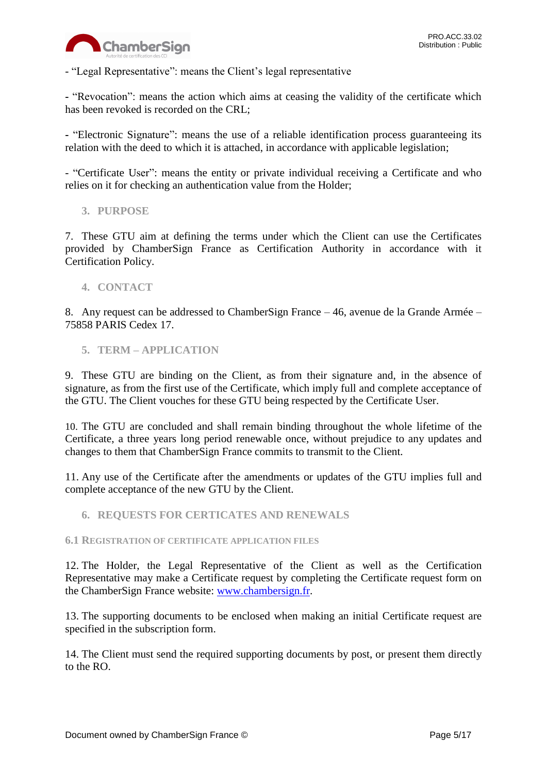

- "Legal Representative": means the Client's legal representative

**-** "Revocation": means the action which aims at ceasing the validity of the certificate which has been revoked is recorded on the CRL;

**-** "Electronic Signature": means the use of a reliable identification process guaranteeing its relation with the deed to which it is attached, in accordance with applicable legislation;

- "Certificate User": means the entity or private individual receiving a Certificate and who relies on it for checking an authentication value from the Holder;

<span id="page-4-0"></span>**3. PURPOSE**

7. These GTU aim at defining the terms under which the Client can use the Certificates provided by ChamberSign France as Certification Authority in accordance with it Certification Policy.

<span id="page-4-1"></span>**4. CONTACT**

8. Any request can be addressed to ChamberSign France – 46, avenue de la Grande Armée – 75858 PARIS Cedex 17.

<span id="page-4-2"></span>**5. TERM – APPLICATION**

9. These GTU are binding on the Client, as from their signature and, in the absence of signature, as from the first use of the Certificate, which imply full and complete acceptance of the GTU. The Client vouches for these GTU being respected by the Certificate User.

10. The GTU are concluded and shall remain binding throughout the whole lifetime of the Certificate, a three years long period renewable once, without prejudice to any updates and changes to them that ChamberSign France commits to transmit to the Client.

11. Any use of the Certificate after the amendments or updates of the GTU implies full and complete acceptance of the new GTU by the Client.

<span id="page-4-3"></span>**6. REQUESTS FOR CERTICATES AND RENEWALS**

<span id="page-4-4"></span>**6.1 REGISTRATION OF CERTIFICATE APPLICATION FILES**

12. The Holder, the Legal Representative of the Client as well as the Certification Representative may make a Certificate request by completing the Certificate request form on the ChamberSign France website: [www.chambersign.fr.](http://www.chambersign.fr/)

13. The supporting documents to be enclosed when making an initial Certificate request are specified in the subscription form.

14. The Client must send the required supporting documents by post, or present them directly to the RO.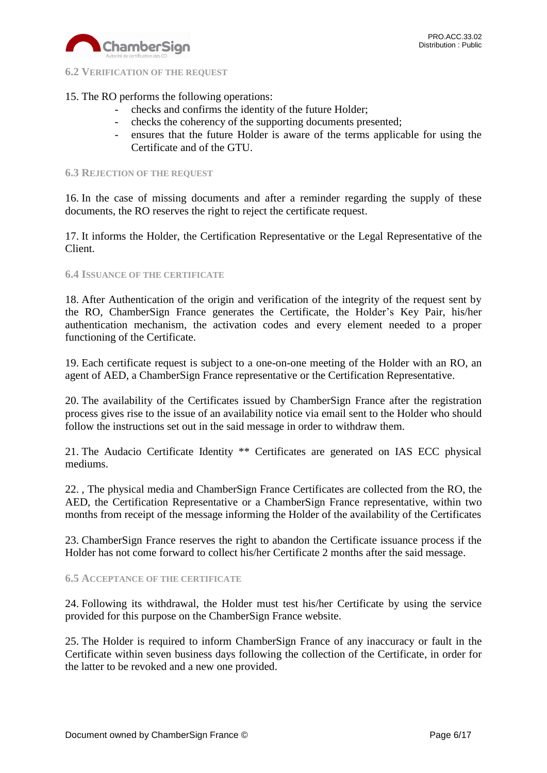

<span id="page-5-0"></span>**6.2 VERIFICATION OF THE REQUEST**

## 15. The RO performs the following operations:

- checks and confirms the identity of the future Holder;
- checks the coherency of the supporting documents presented;
- ensures that the future Holder is aware of the terms applicable for using the Certificate and of the GTU.

#### <span id="page-5-1"></span>**6.3 REJECTION OF THE REQUEST**

16. In the case of missing documents and after a reminder regarding the supply of these documents, the RO reserves the right to reject the certificate request.

17. It informs the Holder, the Certification Representative or the Legal Representative of the Client.

#### <span id="page-5-2"></span>**6.4 ISSUANCE OF THE CERTIFICATE**

18. After Authentication of the origin and verification of the integrity of the request sent by the RO, ChamberSign France generates the Certificate, the Holder's Key Pair, his/her authentication mechanism, the activation codes and every element needed to a proper functioning of the Certificate.

19. Each certificate request is subject to a one-on-one meeting of the Holder with an RO, an agent of AED, a ChamberSign France representative or the Certification Representative.

20. The availability of the Certificates issued by ChamberSign France after the registration process gives rise to the issue of an availability notice via email sent to the Holder who should follow the instructions set out in the said message in order to withdraw them.

21. The Audacio Certificate Identity \*\* Certificates are generated on IAS ECC physical mediums.

22. , The physical media and ChamberSign France Certificates are collected from the RO, the AED, the Certification Representative or a ChamberSign France representative, within two months from receipt of the message informing the Holder of the availability of the Certificates

23. ChamberSign France reserves the right to abandon the Certificate issuance process if the Holder has not come forward to collect his/her Certificate 2 months after the said message.

## <span id="page-5-3"></span>**6.5 ACCEPTANCE OF THE CERTIFICATE**

24. Following its withdrawal, the Holder must test his/her Certificate by using the service provided for this purpose on the ChamberSign France website.

25. The Holder is required to inform ChamberSign France of any inaccuracy or fault in the Certificate within seven business days following the collection of the Certificate, in order for the latter to be revoked and a new one provided.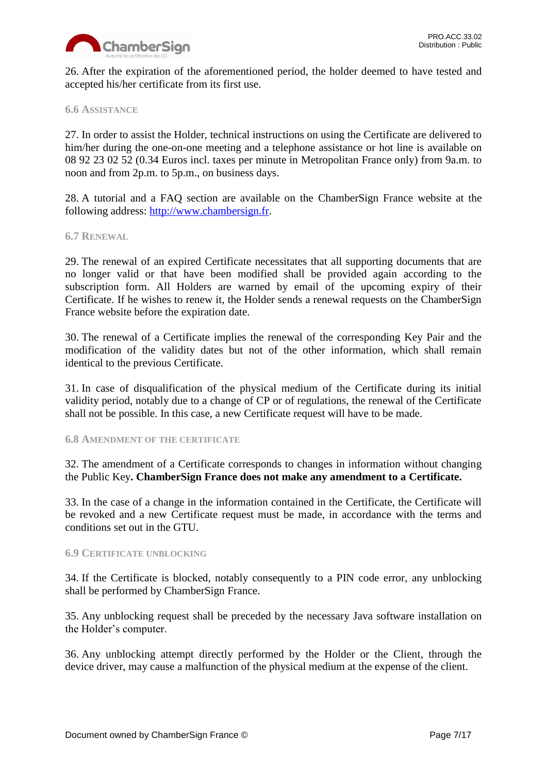

26. After the expiration of the aforementioned period, the holder deemed to have tested and accepted his/her certificate from its first use.

### <span id="page-6-0"></span>**6.6 ASSISTANCE**

27. In order to assist the Holder, technical instructions on using the Certificate are delivered to him/her during the one-on-one meeting and a telephone assistance or hot line is available on 08 92 23 02 52 (0.34 Euros incl. taxes per minute in Metropolitan France only) from 9a.m. to noon and from 2p.m. to 5p.m., on business days.

28. A tutorial and a FAQ section are available on the ChamberSign France website at the following address: [http://www.chambersign.fr.](http://www.chambersign.fr/)

#### <span id="page-6-1"></span>**6.7 RENEWAL**

29. The renewal of an expired Certificate necessitates that all supporting documents that are no longer valid or that have been modified shall be provided again according to the subscription form. All Holders are warned by email of the upcoming expiry of their Certificate. If he wishes to renew it, the Holder sends a renewal requests on the ChamberSign France website before the expiration date.

30. The renewal of a Certificate implies the renewal of the corresponding Key Pair and the modification of the validity dates but not of the other information, which shall remain identical to the previous Certificate.

31. In case of disqualification of the physical medium of the Certificate during its initial validity period, notably due to a change of CP or of regulations, the renewal of the Certificate shall not be possible. In this case, a new Certificate request will have to be made.

#### <span id="page-6-2"></span>**6.8 AMENDMENT OF THE CERTIFICATE**

32. The amendment of a Certificate corresponds to changes in information without changing the Public Key**. ChamberSign France does not make any amendment to a Certificate.**

33. In the case of a change in the information contained in the Certificate, the Certificate will be revoked and a new Certificate request must be made, in accordance with the terms and conditions set out in the GTU.

#### <span id="page-6-3"></span>**6.9 CERTIFICATE UNBLOCKING**

34. If the Certificate is blocked, notably consequently to a PIN code error, any unblocking shall be performed by ChamberSign France.

35. Any unblocking request shall be preceded by the necessary Java software installation on the Holder's computer.

36. Any unblocking attempt directly performed by the Holder or the Client, through the device driver, may cause a malfunction of the physical medium at the expense of the client.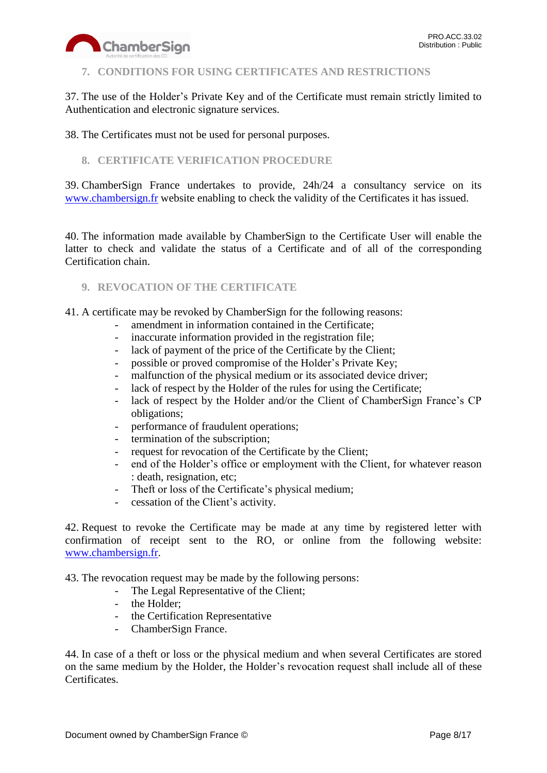

## <span id="page-7-0"></span>**7. CONDITIONS FOR USING CERTIFICATES AND RESTRICTIONS**

37. The use of the Holder's Private Key and of the Certificate must remain strictly limited to Authentication and electronic signature services.

38. The Certificates must not be used for personal purposes.

## <span id="page-7-1"></span>**8. CERTIFICATE VERIFICATION PROCEDURE**

39. ChamberSign France undertakes to provide, 24h/24 a consultancy service on its [www.chambersign.fr](http://www.chambersign.fr/) website enabling to check the validity of the Certificates it has issued.

40. The information made available by ChamberSign to the Certificate User will enable the latter to check and validate the status of a Certificate and of all of the corresponding Certification chain.

## <span id="page-7-2"></span>**9. REVOCATION OF THE CERTIFICATE**

41. A certificate may be revoked by ChamberSign for the following reasons:

- amendment in information contained in the Certificate;
- inaccurate information provided in the registration file;
- lack of payment of the price of the Certificate by the Client;
- possible or proved compromise of the Holder's Private Key;
- malfunction of the physical medium or its associated device driver;
- lack of respect by the Holder of the rules for using the Certificate;
- lack of respect by the Holder and/or the Client of ChamberSign France's CP obligations;
- performance of fraudulent operations;
- termination of the subscription;
- request for revocation of the Certificate by the Client;
- end of the Holder's office or employment with the Client, for whatever reason : death, resignation, etc;
- Theft or loss of the Certificate's physical medium;
- cessation of the Client's activity.

42. Request to revoke the Certificate may be made at any time by registered letter with confirmation of receipt sent to the RO, or online from the following website: [www.chambersign.fr.](http://www.chambersign.fr/)

43. The revocation request may be made by the following persons:

- The Legal Representative of the Client;
- the Holder;
- the Certification Representative
- ChamberSign France.

44. In case of a theft or loss or the physical medium and when several Certificates are stored on the same medium by the Holder, the Holder's revocation request shall include all of these Certificates.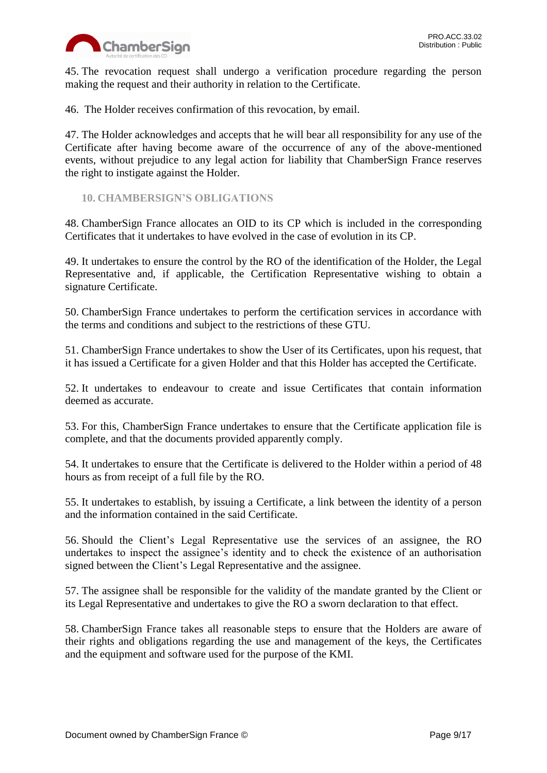

45. The revocation request shall undergo a verification procedure regarding the person making the request and their authority in relation to the Certificate.

46. The Holder receives confirmation of this revocation, by email.

47. The Holder acknowledges and accepts that he will bear all responsibility for any use of the Certificate after having become aware of the occurrence of any of the above-mentioned events, without prejudice to any legal action for liability that ChamberSign France reserves the right to instigate against the Holder.

<span id="page-8-0"></span>**10. CHAMBERSIGN'S OBLIGATIONS**

48. ChamberSign France allocates an OID to its CP which is included in the corresponding Certificates that it undertakes to have evolved in the case of evolution in its CP.

49. It undertakes to ensure the control by the RO of the identification of the Holder, the Legal Representative and, if applicable, the Certification Representative wishing to obtain a signature Certificate.

50. ChamberSign France undertakes to perform the certification services in accordance with the terms and conditions and subject to the restrictions of these GTU.

51. ChamberSign France undertakes to show the User of its Certificates, upon his request, that it has issued a Certificate for a given Holder and that this Holder has accepted the Certificate.

52. It undertakes to endeavour to create and issue Certificates that contain information deemed as accurate.

53. For this, ChamberSign France undertakes to ensure that the Certificate application file is complete, and that the documents provided apparently comply.

54. It undertakes to ensure that the Certificate is delivered to the Holder within a period of 48 hours as from receipt of a full file by the RO.

55. It undertakes to establish, by issuing a Certificate, a link between the identity of a person and the information contained in the said Certificate.

56. Should the Client's Legal Representative use the services of an assignee, the RO undertakes to inspect the assignee's identity and to check the existence of an authorisation signed between the Client's Legal Representative and the assignee.

57. The assignee shall be responsible for the validity of the mandate granted by the Client or its Legal Representative and undertakes to give the RO a sworn declaration to that effect.

58. ChamberSign France takes all reasonable steps to ensure that the Holders are aware of their rights and obligations regarding the use and management of the keys, the Certificates and the equipment and software used for the purpose of the KMI.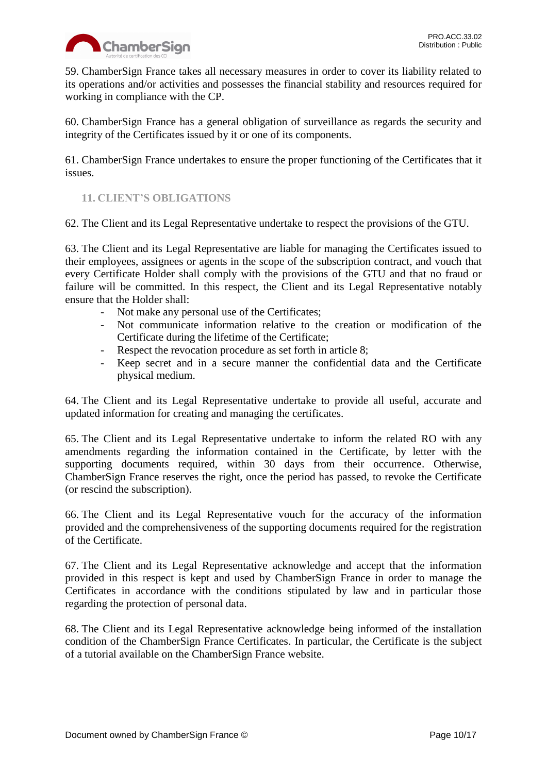

59. ChamberSign France takes all necessary measures in order to cover its liability related to its operations and/or activities and possesses the financial stability and resources required for working in compliance with the CP.

60. ChamberSign France has a general obligation of surveillance as regards the security and integrity of the Certificates issued by it or one of its components.

61. ChamberSign France undertakes to ensure the proper functioning of the Certificates that it issues.

# <span id="page-9-0"></span>**11. CLIENT'S OBLIGATIONS**

62. The Client and its Legal Representative undertake to respect the provisions of the GTU.

63. The Client and its Legal Representative are liable for managing the Certificates issued to their employees, assignees or agents in the scope of the subscription contract, and vouch that every Certificate Holder shall comply with the provisions of the GTU and that no fraud or failure will be committed. In this respect, the Client and its Legal Representative notably ensure that the Holder shall:

- Not make any personal use of the Certificates;
- Not communicate information relative to the creation or modification of the Certificate during the lifetime of the Certificate;
- Respect the revocation procedure as set forth in article 8;
- Keep secret and in a secure manner the confidential data and the Certificate physical medium.

64. The Client and its Legal Representative undertake to provide all useful, accurate and updated information for creating and managing the certificates.

65. The Client and its Legal Representative undertake to inform the related RO with any amendments regarding the information contained in the Certificate, by letter with the supporting documents required, within 30 days from their occurrence. Otherwise, ChamberSign France reserves the right, once the period has passed, to revoke the Certificate (or rescind the subscription).

66. The Client and its Legal Representative vouch for the accuracy of the information provided and the comprehensiveness of the supporting documents required for the registration of the Certificate.

67. The Client and its Legal Representative acknowledge and accept that the information provided in this respect is kept and used by ChamberSign France in order to manage the Certificates in accordance with the conditions stipulated by law and in particular those regarding the protection of personal data.

68. The Client and its Legal Representative acknowledge being informed of the installation condition of the ChamberSign France Certificates. In particular, the Certificate is the subject of a tutorial available on the ChamberSign France website.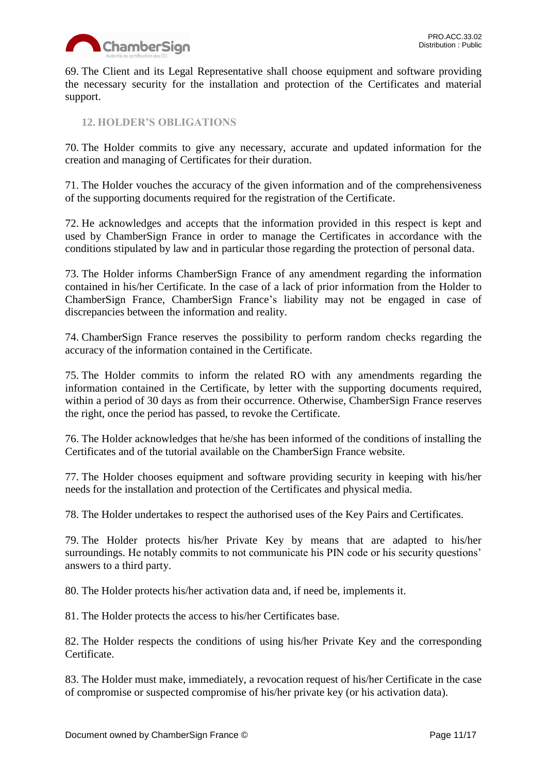

69. The Client and its Legal Representative shall choose equipment and software providing the necessary security for the installation and protection of the Certificates and material support.

<span id="page-10-0"></span>**12. HOLDER'S OBLIGATIONS**

70. The Holder commits to give any necessary, accurate and updated information for the creation and managing of Certificates for their duration.

71. The Holder vouches the accuracy of the given information and of the comprehensiveness of the supporting documents required for the registration of the Certificate.

72. He acknowledges and accepts that the information provided in this respect is kept and used by ChamberSign France in order to manage the Certificates in accordance with the conditions stipulated by law and in particular those regarding the protection of personal data.

73. The Holder informs ChamberSign France of any amendment regarding the information contained in his/her Certificate. In the case of a lack of prior information from the Holder to ChamberSign France, ChamberSign France's liability may not be engaged in case of discrepancies between the information and reality.

74. ChamberSign France reserves the possibility to perform random checks regarding the accuracy of the information contained in the Certificate.

75. The Holder commits to inform the related RO with any amendments regarding the information contained in the Certificate, by letter with the supporting documents required, within a period of 30 days as from their occurrence. Otherwise, ChamberSign France reserves the right, once the period has passed, to revoke the Certificate.

76. The Holder acknowledges that he/she has been informed of the conditions of installing the Certificates and of the tutorial available on the ChamberSign France website.

77. The Holder chooses equipment and software providing security in keeping with his/her needs for the installation and protection of the Certificates and physical media.

78. The Holder undertakes to respect the authorised uses of the Key Pairs and Certificates.

79. The Holder protects his/her Private Key by means that are adapted to his/her surroundings. He notably commits to not communicate his PIN code or his security questions' answers to a third party.

80. The Holder protects his/her activation data and, if need be, implements it.

81. The Holder protects the access to his/her Certificates base.

82. The Holder respects the conditions of using his/her Private Key and the corresponding Certificate.

83. The Holder must make, immediately, a revocation request of his/her Certificate in the case of compromise or suspected compromise of his/her private key (or his activation data).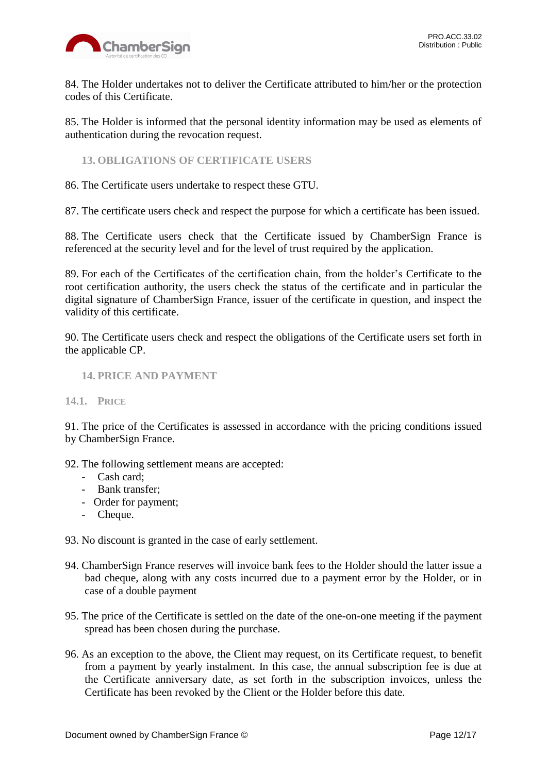

84. The Holder undertakes not to deliver the Certificate attributed to him/her or the protection codes of this Certificate.

85. The Holder is informed that the personal identity information may be used as elements of authentication during the revocation request.

<span id="page-11-0"></span>**13. OBLIGATIONS OF CERTIFICATE USERS**

86. The Certificate users undertake to respect these GTU.

87. The certificate users check and respect the purpose for which a certificate has been issued.

88. The Certificate users check that the Certificate issued by ChamberSign France is referenced at the security level and for the level of trust required by the application.

89. For each of the Certificates of the certification chain, from the holder's Certificate to the root certification authority, the users check the status of the certificate and in particular the digital signature of ChamberSign France, issuer of the certificate in question, and inspect the validity of this certificate.

90. The Certificate users check and respect the obligations of the Certificate users set forth in the applicable CP.

## <span id="page-11-1"></span>**14. PRICE AND PAYMENT**

## <span id="page-11-2"></span>**14.1. PRICE**

91. The price of the Certificates is assessed in accordance with the pricing conditions issued by ChamberSign France.

- 92. The following settlement means are accepted:
	- Cash card;
	- Bank transfer;
	- Order for payment;
	- Cheque.

93. No discount is granted in the case of early settlement.

- 94. ChamberSign France reserves will invoice bank fees to the Holder should the latter issue a bad cheque, along with any costs incurred due to a payment error by the Holder, or in case of a double payment
- 95. The price of the Certificate is settled on the date of the one-on-one meeting if the payment spread has been chosen during the purchase.
- 96. As an exception to the above, the Client may request, on its Certificate request, to benefit from a payment by yearly instalment. In this case, the annual subscription fee is due at the Certificate anniversary date, as set forth in the subscription invoices, unless the Certificate has been revoked by the Client or the Holder before this date.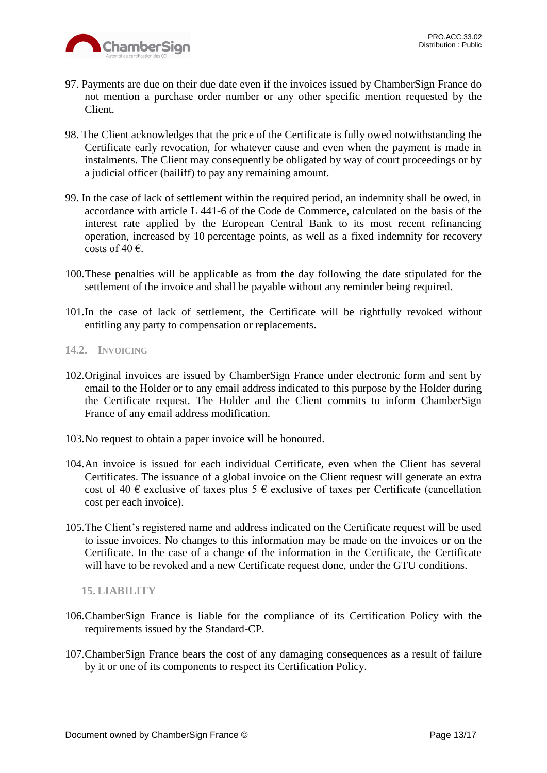

- 97. Payments are due on their due date even if the invoices issued by ChamberSign France do not mention a purchase order number or any other specific mention requested by the Client.
- 98. The Client acknowledges that the price of the Certificate is fully owed notwithstanding the Certificate early revocation, for whatever cause and even when the payment is made in instalments. The Client may consequently be obligated by way of court proceedings or by a judicial officer (bailiff) to pay any remaining amount.
- 99. In the case of lack of settlement within the required period, an indemnity shall be owed, in accordance with article L 441-6 of the Code de Commerce, calculated on the basis of the interest rate applied by the European Central Bank to its most recent refinancing operation, increased by 10 percentage points, as well as a fixed indemnity for recovery costs of 40  $\epsilon$ .
- 100.These penalties will be applicable as from the day following the date stipulated for the settlement of the invoice and shall be payable without any reminder being required.
- 101.In the case of lack of settlement, the Certificate will be rightfully revoked without entitling any party to compensation or replacements.
- <span id="page-12-0"></span>**14.2. INVOICING**
- 102.Original invoices are issued by ChamberSign France under electronic form and sent by email to the Holder or to any email address indicated to this purpose by the Holder during the Certificate request. The Holder and the Client commits to inform ChamberSign France of any email address modification.
- 103.No request to obtain a paper invoice will be honoured.
- 104.An invoice is issued for each individual Certificate, even when the Client has several Certificates. The issuance of a global invoice on the Client request will generate an extra cost of 40  $\epsilon$  exclusive of taxes plus 5  $\epsilon$  exclusive of taxes per Certificate (cancellation cost per each invoice).
- 105.The Client's registered name and address indicated on the Certificate request will be used to issue invoices. No changes to this information may be made on the invoices or on the Certificate. In the case of a change of the information in the Certificate, the Certificate will have to be revoked and a new Certificate request done, under the GTU conditions.

<span id="page-12-1"></span>**15. LIABILITY** 

- 106.ChamberSign France is liable for the compliance of its Certification Policy with the requirements issued by the Standard-CP.
- 107.ChamberSign France bears the cost of any damaging consequences as a result of failure by it or one of its components to respect its Certification Policy.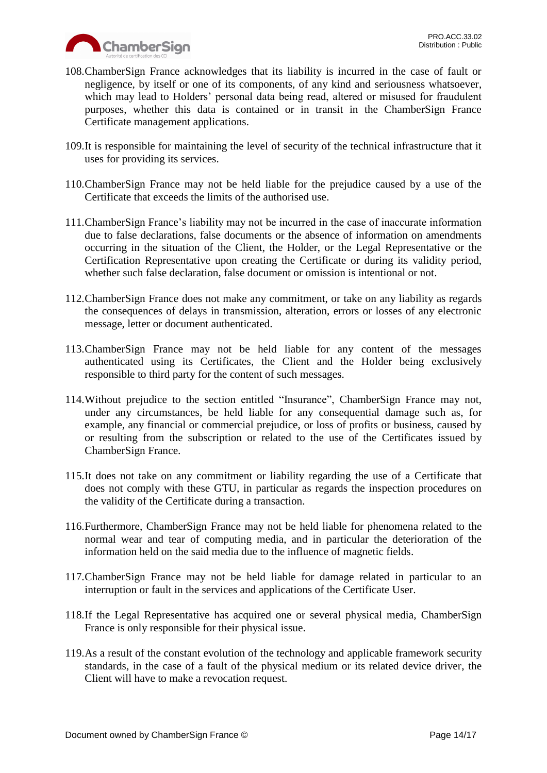

- 108.ChamberSign France acknowledges that its liability is incurred in the case of fault or negligence, by itself or one of its components, of any kind and seriousness whatsoever, which may lead to Holders' personal data being read, altered or misused for fraudulent purposes, whether this data is contained or in transit in the ChamberSign France Certificate management applications.
- 109.It is responsible for maintaining the level of security of the technical infrastructure that it uses for providing its services.
- 110.ChamberSign France may not be held liable for the prejudice caused by a use of the Certificate that exceeds the limits of the authorised use.
- 111.ChamberSign France's liability may not be incurred in the case of inaccurate information due to false declarations, false documents or the absence of information on amendments occurring in the situation of the Client, the Holder, or the Legal Representative or the Certification Representative upon creating the Certificate or during its validity period, whether such false declaration, false document or omission is intentional or not.
- 112.ChamberSign France does not make any commitment, or take on any liability as regards the consequences of delays in transmission, alteration, errors or losses of any electronic message, letter or document authenticated.
- 113.ChamberSign France may not be held liable for any content of the messages authenticated using its Certificates, the Client and the Holder being exclusively responsible to third party for the content of such messages.
- 114.Without prejudice to the section entitled "Insurance", ChamberSign France may not, under any circumstances, be held liable for any consequential damage such as, for example, any financial or commercial prejudice, or loss of profits or business, caused by or resulting from the subscription or related to the use of the Certificates issued by ChamberSign France.
- 115.It does not take on any commitment or liability regarding the use of a Certificate that does not comply with these GTU, in particular as regards the inspection procedures on the validity of the Certificate during a transaction.
- 116.Furthermore, ChamberSign France may not be held liable for phenomena related to the normal wear and tear of computing media, and in particular the deterioration of the information held on the said media due to the influence of magnetic fields.
- 117.ChamberSign France may not be held liable for damage related in particular to an interruption or fault in the services and applications of the Certificate User.
- 118.If the Legal Representative has acquired one or several physical media, ChamberSign France is only responsible for their physical issue.
- 119.As a result of the constant evolution of the technology and applicable framework security standards, in the case of a fault of the physical medium or its related device driver, the Client will have to make a revocation request.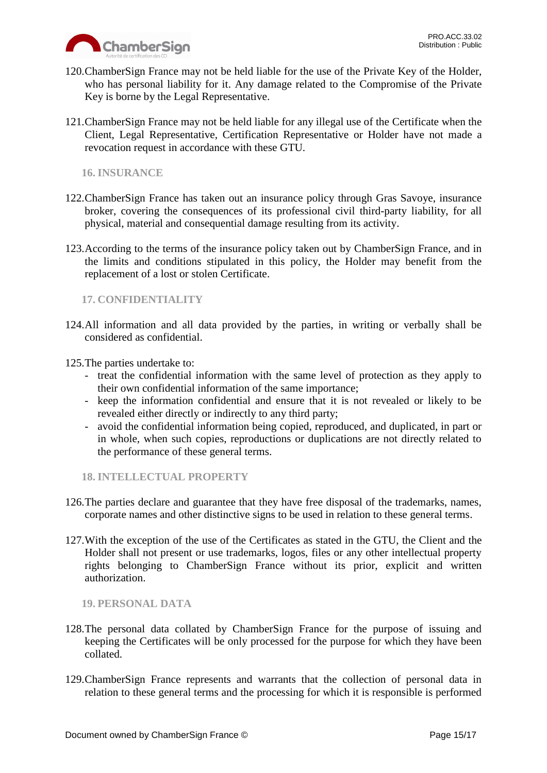

- 120.ChamberSign France may not be held liable for the use of the Private Key of the Holder, who has personal liability for it. Any damage related to the Compromise of the Private Key is borne by the Legal Representative.
- 121.ChamberSign France may not be held liable for any illegal use of the Certificate when the Client, Legal Representative, Certification Representative or Holder have not made a revocation request in accordance with these GTU.

<span id="page-14-0"></span>**16. INSURANCE**

- 122.ChamberSign France has taken out an insurance policy through Gras Savoye, insurance broker, covering the consequences of its professional civil third-party liability, for all physical, material and consequential damage resulting from its activity.
- 123.According to the terms of the insurance policy taken out by ChamberSign France, and in the limits and conditions stipulated in this policy, the Holder may benefit from the replacement of a lost or stolen Certificate.

## <span id="page-14-1"></span>**17. CONFIDENTIALITY**

- 124.All information and all data provided by the parties, in writing or verbally shall be considered as confidential.
- 125.The parties undertake to:
	- treat the confidential information with the same level of protection as they apply to their own confidential information of the same importance;
	- keep the information confidential and ensure that it is not revealed or likely to be revealed either directly or indirectly to any third party;
	- avoid the confidential information being copied, reproduced, and duplicated, in part or in whole, when such copies, reproductions or duplications are not directly related to the performance of these general terms.

<span id="page-14-2"></span>**18. INTELLECTUAL PROPERTY**

- 126.The parties declare and guarantee that they have free disposal of the trademarks, names, corporate names and other distinctive signs to be used in relation to these general terms.
- 127.With the exception of the use of the Certificates as stated in the GTU, the Client and the Holder shall not present or use trademarks, logos, files or any other intellectual property rights belonging to ChamberSign France without its prior, explicit and written authorization.

<span id="page-14-3"></span>**19. PERSONAL DATA**

- 128.The personal data collated by ChamberSign France for the purpose of issuing and keeping the Certificates will be only processed for the purpose for which they have been collated.
- 129.ChamberSign France represents and warrants that the collection of personal data in relation to these general terms and the processing for which it is responsible is performed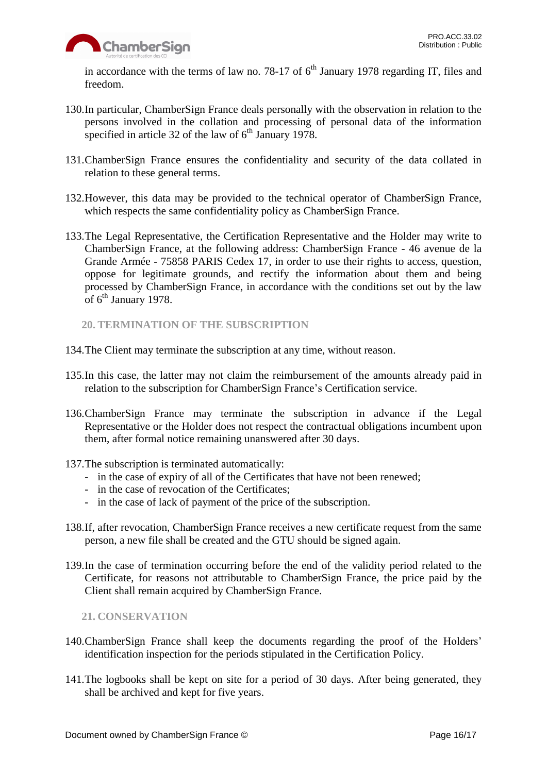

in accordance with the terms of law no. 78-17 of  $6<sup>th</sup>$  January 1978 regarding IT, files and freedom.

- 130.In particular, ChamberSign France deals personally with the observation in relation to the persons involved in the collation and processing of personal data of the information specified in article 32 of the law of  $6<sup>th</sup>$  January 1978.
- 131.ChamberSign France ensures the confidentiality and security of the data collated in relation to these general terms.
- 132.However, this data may be provided to the technical operator of ChamberSign France, which respects the same confidentiality policy as ChamberSign France.
- 133.The Legal Representative, the Certification Representative and the Holder may write to ChamberSign France, at the following address: ChamberSign France - 46 avenue de la Grande Armée - 75858 PARIS Cedex 17, in order to use their rights to access, question, oppose for legitimate grounds, and rectify the information about them and being processed by ChamberSign France, in accordance with the conditions set out by the law of 6<sup>th</sup> January 1978.
	- **20. TERMINATION OF THE SUBSCRIPTION**
- <span id="page-15-0"></span>134.The Client may terminate the subscription at any time, without reason.
- 135.In this case, the latter may not claim the reimbursement of the amounts already paid in relation to the subscription for ChamberSign France's Certification service.
- 136.ChamberSign France may terminate the subscription in advance if the Legal Representative or the Holder does not respect the contractual obligations incumbent upon them, after formal notice remaining unanswered after 30 days.
- 137.The subscription is terminated automatically:
	- in the case of expiry of all of the Certificates that have not been renewed;
	- in the case of revocation of the Certificates;
	- in the case of lack of payment of the price of the subscription.
- 138.If, after revocation, ChamberSign France receives a new certificate request from the same person, a new file shall be created and the GTU should be signed again.
- 139.In the case of termination occurring before the end of the validity period related to the Certificate, for reasons not attributable to ChamberSign France, the price paid by the Client shall remain acquired by ChamberSign France.

<span id="page-15-1"></span>**21. CONSERVATION**

- 140.ChamberSign France shall keep the documents regarding the proof of the Holders' identification inspection for the periods stipulated in the Certification Policy.
- 141.The logbooks shall be kept on site for a period of 30 days. After being generated, they shall be archived and kept for five years.